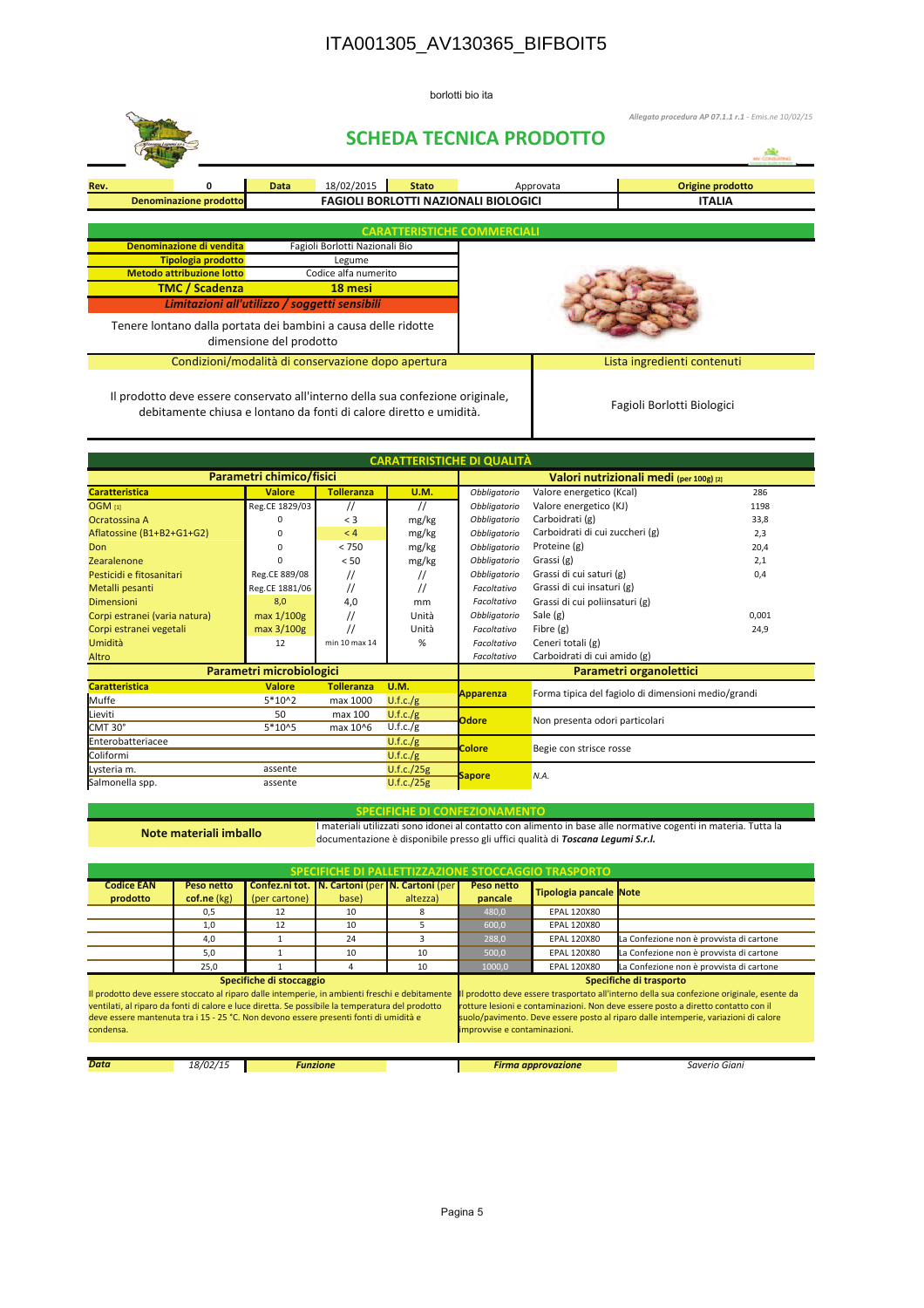## ITA001305\_AV130365\_BIFBOIT5

borlotti bio ita



debitamente chiusa e lontano da fonti di calore diretto e umidità.

| <b>CARATTERISTICHE DI QUALITÀ</b> |                          |                   |                   |                         |                                                     |       |  |  |  |
|-----------------------------------|--------------------------|-------------------|-------------------|-------------------------|-----------------------------------------------------|-------|--|--|--|
| Parametri chimico/fisici          |                          |                   |                   |                         | Valori nutrizionali medi (per 100g) [2]             |       |  |  |  |
| <b>Caratteristica</b>             | <b>Valore</b>            | <b>Tolleranza</b> | <b>U.M.</b>       | Obbligatorio            | 286<br>Valore energetico (Kcal)                     |       |  |  |  |
| <b>OGM</b> [1]                    | Reg.CE 1829/03           | $^{\prime\prime}$ | $^{\prime\prime}$ | Obbligatorio            | Valore energetico (KJ)<br>1198                      |       |  |  |  |
| Ocratossina A                     |                          | $<$ 3             | mg/kg             | Obbligatorio            | Carboidrati (g)<br>33,8                             |       |  |  |  |
| Aflatossine (B1+B2+G1+G2)         | $\Omega$                 | < 4               | mg/kg             | Obbligatorio            | Carboidrati di cui zuccheri (g)                     | 2,3   |  |  |  |
| Don                               | $\Omega$                 | < 750             | mg/kg             | Obbligatorio            | Proteine (g)                                        | 20,4  |  |  |  |
| Zearalenone                       | n                        | < 50              | mg/kg             | Obbligatorio            | Grassi (g)                                          | 2,1   |  |  |  |
| Pesticidi e fitosanitari          | Reg.CE 889/08            | //                | $^{\prime\prime}$ | Obbligatorio            | Grassi di cui saturi (g)                            | 0,4   |  |  |  |
| Metalli pesanti                   | Reg.CE 1881/06           | //                | $\prime$          | Facoltativo             | Grassi di cui insaturi (g)                          |       |  |  |  |
| <b>Dimensioni</b>                 | 8,0                      | 4,0               | mm                | Facoltativo             | Grassi di cui poliinsaturi (g)                      |       |  |  |  |
| Corpi estranei (varia natura)     | max 1/100g               | $^{\prime\prime}$ | Unità             | Obbligatorio            | Sale (g)                                            | 0,001 |  |  |  |
| Corpi estranei vegetali           | max 3/100g               |                   | Unità             | Facoltativo             | Fibre (g)                                           | 24,9  |  |  |  |
| Umidità                           | 12                       | min 10 max 14     | %                 | Facoltativo             | Ceneri totali (g)                                   |       |  |  |  |
| Altro                             |                          |                   |                   | Facoltativo             | Carboidrati di cui amido (g)                        |       |  |  |  |
|                                   | Parametri microbiologici |                   |                   | Parametri organolettici |                                                     |       |  |  |  |
| <b>Caratteristica</b>             | <b>Valore</b>            | <b>Tolleranza</b> | <b>U.M.</b>       | Apparenza               | Forma tipica del fagiolo di dimensioni medio/grandi |       |  |  |  |
| Muffe                             | $5*102$                  | max 1000          | U.f.c./g          |                         |                                                     |       |  |  |  |
| Lieviti                           | 50                       | max 100           | U.f.c./g          | <b>Odore</b>            | Non presenta odori particolari                      |       |  |  |  |
| CMT 30°                           | 5*10^5                   | max 10^6          | U.f.c./g          |                         |                                                     |       |  |  |  |
| Enterobatteriacee                 |                          |                   | U.f.c./g          | <b>Colore</b>           | Begie con strisce rosse                             |       |  |  |  |
| Coliformi                         |                          |                   | U.f.c./g          |                         |                                                     |       |  |  |  |
| Lysteria m.                       | assente                  |                   | U.f.c./25g        | N.A.                    |                                                     |       |  |  |  |
| Salmonella spp.                   | assente                  |                   | U.f.c./25g        | <b>Sapore</b>           |                                                     |       |  |  |  |

## **IFICHE DI CONFEZIONAMENTO**

Note materiali imballo

I materiali utilizzati sono idonei al contatto con alimento in base alle normative cogenti in materia. Tutta la

documentazione è disponibile presso gli uffici qualità di Toscana Legumi S.r.l.

| SPECIFICHE DI PALLETTIZZAZIONE STOCCAGGIO TRASPORTO                                                                                                                                                                                                                                                                                  |                           |               |                 |                                                                |                                                                                                                                                                                                                                                                                                                                  |                           |                                          |  |
|--------------------------------------------------------------------------------------------------------------------------------------------------------------------------------------------------------------------------------------------------------------------------------------------------------------------------------------|---------------------------|---------------|-----------------|----------------------------------------------------------------|----------------------------------------------------------------------------------------------------------------------------------------------------------------------------------------------------------------------------------------------------------------------------------------------------------------------------------|---------------------------|------------------------------------------|--|
| <b>Codice EAN</b><br>prodotto                                                                                                                                                                                                                                                                                                        | Peso netto<br>cof.ne (kg) | (per cartone) | base)           | Confez.ni tot.   N. Cartoni (per   N. Cartoni (per<br>altezza) | Peso netto<br>pancale                                                                                                                                                                                                                                                                                                            | Tipologia pancale Note    |                                          |  |
|                                                                                                                                                                                                                                                                                                                                      | 0,5                       | 12            | 10              | 8                                                              | 480,0                                                                                                                                                                                                                                                                                                                            | <b>EPAL 120X80</b>        |                                          |  |
|                                                                                                                                                                                                                                                                                                                                      | 1,0                       | 12            | 10 <sup>2</sup> | 5                                                              | 600,0                                                                                                                                                                                                                                                                                                                            | <b>EPAL 120X80</b>        |                                          |  |
|                                                                                                                                                                                                                                                                                                                                      | 4,0                       |               | 24              | з                                                              | 288,0                                                                                                                                                                                                                                                                                                                            | <b>EPAL 120X80</b>        | La Confezione non è provvista di cartone |  |
|                                                                                                                                                                                                                                                                                                                                      | 5.0                       |               | 10              | 10                                                             | 500,0                                                                                                                                                                                                                                                                                                                            | <b>EPAL 120X80</b>        | La Confezione non è provvista di cartone |  |
|                                                                                                                                                                                                                                                                                                                                      | 25,0                      |               | 4               | 10                                                             | 1000,0                                                                                                                                                                                                                                                                                                                           | <b>EPAL 120X80</b>        | La Confezione non è provvista di cartone |  |
| Specifiche di stoccaggio<br>Il prodotto deve essere stoccato al riparo dalle intemperie, in ambienti freschi e debitamente<br>ventilati, al riparo da fonti di calore e luce diretta. Se possibile la temperatura del prodotto<br>deve essere mantenuta tra i 15 - 25 °C. Non devono essere presenti fonti di umidità e<br>condensa. |                           |               |                 |                                                                | Specifiche di trasporto<br>Il prodotto deve essere trasportato all'interno della sua confezione originale, esente da<br>rotture lesioni e contaminazioni. Non deve essere posto a diretto contatto con il<br>suolo/pavimento. Deve essere posto al riparo dalle intemperie, variazioni di calore<br>improvvise e contaminazioni. |                           |                                          |  |
| <b>Data</b><br>18/02/15<br><b>Funzione</b>                                                                                                                                                                                                                                                                                           |                           |               |                 |                                                                |                                                                                                                                                                                                                                                                                                                                  | <b>Firma approvazione</b> | Saverio Giani                            |  |